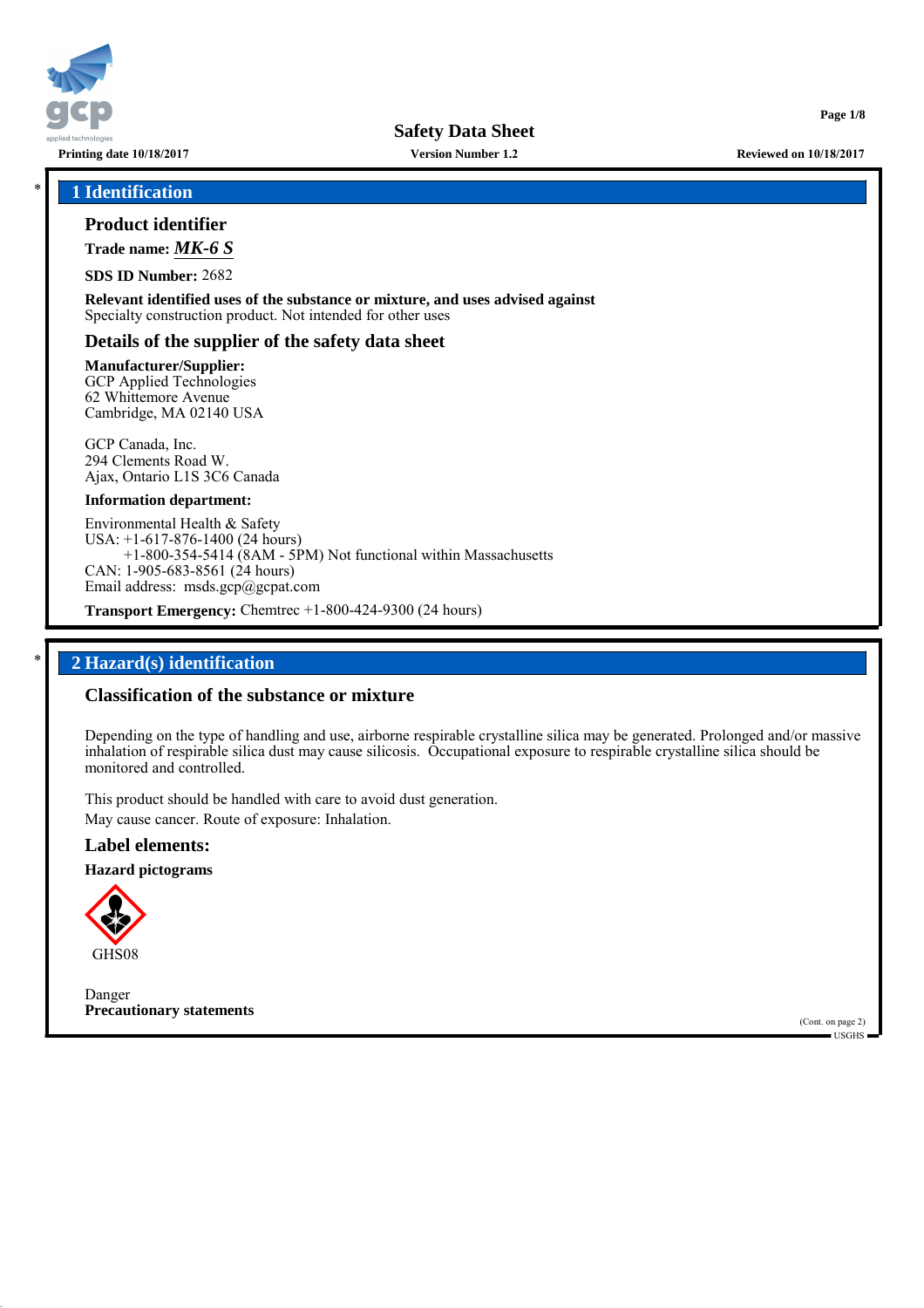

**Version Number 1.2**

\* **1 Identification**

## **Product identifier**

**Trade name:** *MK-6 S*

**SDS ID Number:** 2682

**Relevant identified uses of the substance or mixture, and uses advised against** Specialty construction product. Not intended for other uses

## **Details of the supplier of the safety data sheet**

**Manufacturer/Supplier:** GCP Applied Technologies 62 Whittemore Avenue Cambridge, MA 02140 USA

GCP Canada, Inc. 294 Clements Road W. Ajax, Ontario L1S 3C6 Canada

### **Information department:**

Environmental Health & Safety USA: +1-617-876-1400 (24 hours) +1-800-354-5414 (8AM - 5PM) Not functional within Massachusetts CAN: 1-905-683-8561 (24 hours) Email address: msds.gcp@gcpat.com

**Transport Emergency:** Chemtrec +1-800-424-9300 (24 hours)

## \* **2 Hazard(s) identification**

## **Classification of the substance or mixture**

Depending on the type of handling and use, airborne respirable crystalline silica may be generated. Prolonged and/or massive inhalation of respirable silica dust may cause silicosis. Occupational exposure to respirable crystalline silica should be monitored and controlled.

This product should be handled with care to avoid dust generation. May cause cancer. Route of exposure: Inhalation.

## **Label elements:**

**Hazard pictograms**



Danger **Precautionary statements**

(Cont. on page 2) USGHS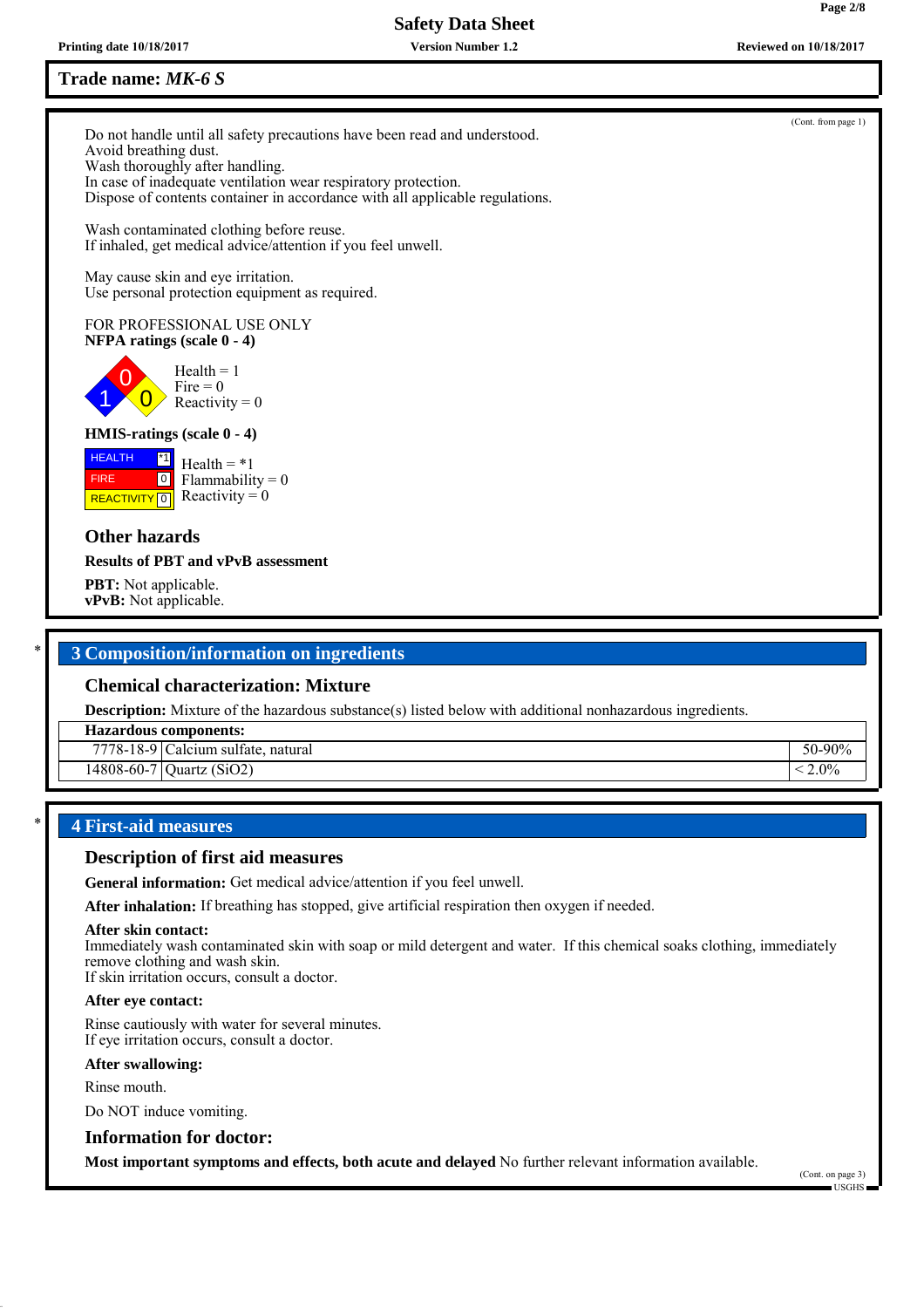**Printing date 10/18/2017 Reviewed on 10/18/2017 Version Number 1.2**

## **Trade name:** *MK-6 S*

Do not handle until all safety precautions have been read and understood. Avoid breathing dust. Wash thoroughly after handling. In case of inadequate ventilation wear respiratory protection. Dispose of contents container in accordance with all applicable regulations.

Wash contaminated clothing before reuse. If inhaled, get medical advice/attention if you feel unwell.

May cause skin and eye irritation. Use personal protection equipment as required.

### FOR PROFESSIONAL USE ONLY **NFPA ratings (scale 0 - 4)**

0  $\overline{0}$  $Health = 1$ Fire  $= 0$ Reactivity  $= 0$ 

## **HMIS-ratings (scale 0 - 4)**

**HEALTH**  FIRE **REACTIVITY** 0 \*1  $\boxed{0}$  $Health = *1$ Flammability  $= 0$ Reactivity  $= 0$ 

## **Other hazards**

1

### **Results of PBT and vPvB assessment**

**PBT:** Not applicable. **vPvB:** Not applicable.

## \* **3 Composition/information on ingredients**

## **Chemical characterization: Mixture**

**Description:** Mixture of the hazardous substance(s) listed below with additional nonhazardous ingredients.

### **Hazardous components:**

| $\sim$<br>7770<br>$10 - 10 - 7$          | . .<br>natural<br>cium<br>sulfate<br>∍aic    | 0.007<br>$\sim$ $\sim$<br>וור. |
|------------------------------------------|----------------------------------------------|--------------------------------|
| $\sim$ $\sim$<br>1000<br>18-60-<br>$-21$ | (SiO2)<br>$\overline{\phantom{a}}$<br>Juartz | $2.0^{\circ}$                  |
|                                          |                                              |                                |

## \* **4 First-aid measures**

### **Description of first aid measures**

**General information:** Get medical advice/attention if you feel unwell.

**After inhalation:** If breathing has stopped, give artificial respiration then oxygen if needed.

### **After skin contact:**

Immediately wash contaminated skin with soap or mild detergent and water. If this chemical soaks clothing, immediately remove clothing and wash skin.

If skin irritation occurs, consult a doctor.

## **After eye contact:**

Rinse cautiously with water for several minutes. If eye irritation occurs, consult a doctor.

### **After swallowing:**

Rinse mouth.

Do NOT induce vomiting.

## **Information for doctor:**

**Most important symptoms and effects, both acute and delayed** No further relevant information available.

(Cont. on page 3) USGHS

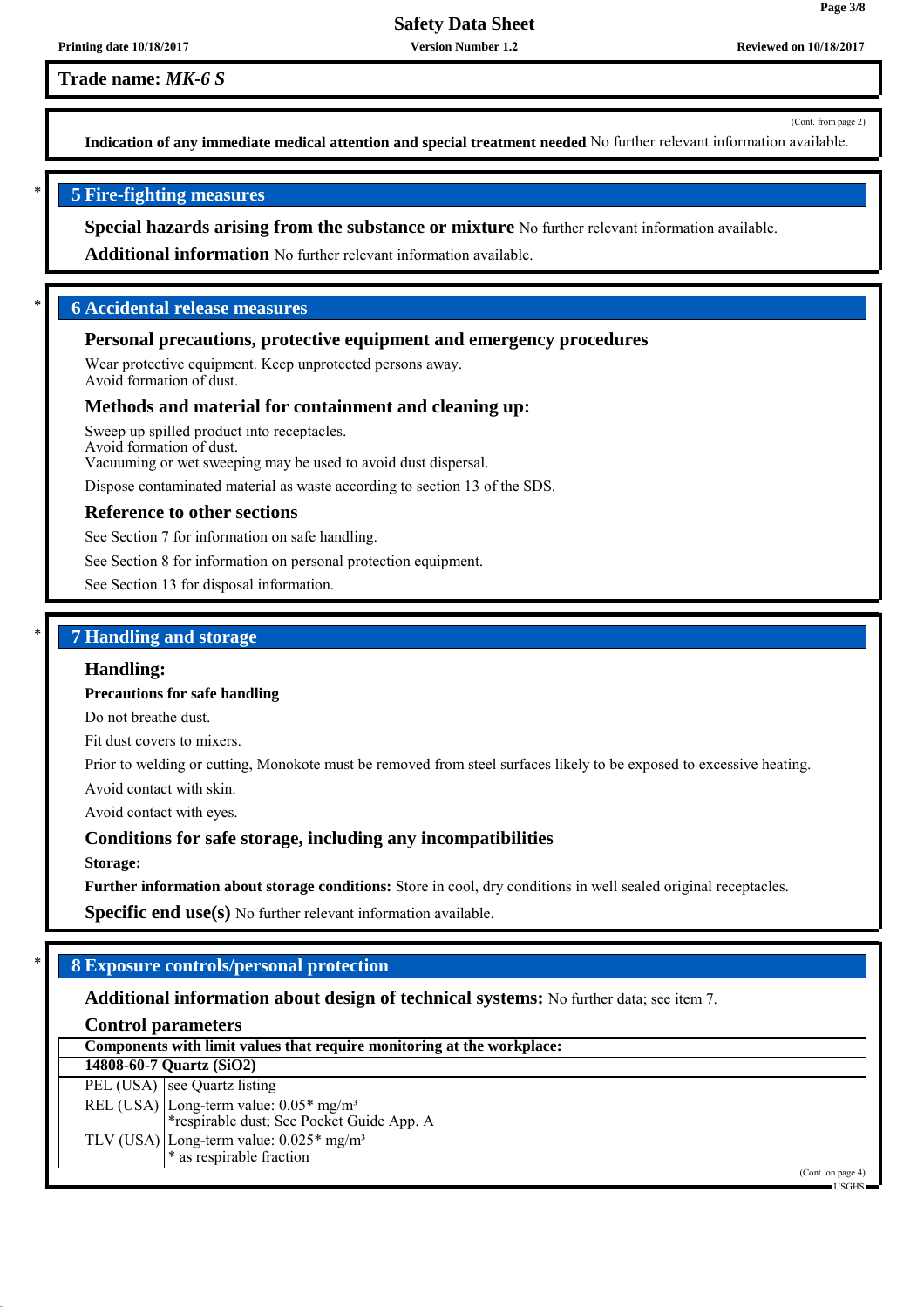**Version Number 1.2**

**Trade name:** *MK-6 S*

(Cont. from page 2)

**Page 3/8**

**Indication of any immediate medical attention and special treatment needed** No further relevant information available.

## \* **5 Fire-fighting measures**

**Special hazards arising from the substance or mixture** No further relevant information available.

**Additional information** No further relevant information available.

## \* **6 Accidental release measures**

### **Personal precautions, protective equipment and emergency procedures**

Wear protective equipment. Keep unprotected persons away. Avoid formation of dust.

### **Methods and material for containment and cleaning up:**

Sweep up spilled product into receptacles. Avoid formation of dust. Vacuuming or wet sweeping may be used to avoid dust dispersal.

Dispose contaminated material as waste according to section 13 of the SDS.

#### **Reference to other sections**

See Section 7 for information on safe handling.

See Section 8 for information on personal protection equipment.

See Section 13 for disposal information.

## \* **7 Handling and storage**

### **Handling:**

**Precautions for safe handling**

Do not breathe dust.

Fit dust covers to mixers.

Prior to welding or cutting, Monokote must be removed from steel surfaces likely to be exposed to excessive heating.

Avoid contact with skin.

Avoid contact with eyes.

### **Conditions for safe storage, including any incompatibilities**

**Storage:**

**Further information about storage conditions:** Store in cool, dry conditions in well sealed original receptacles.

**Specific end use(s)** No further relevant information available.

## \* **8 Exposure controls/personal protection**

## **Additional information about design of technical systems:** No further data; see item 7.

## **Control parameters**

| Components with limit values that require monitoring at the workplace:                          |              |  |
|-------------------------------------------------------------------------------------------------|--------------|--|
| 14808-60-7 Quartz (SiO2)                                                                        |              |  |
| PEL (USA) see Quartz listing                                                                    |              |  |
| REL (USA) Long-term value: 0.05* mg/m <sup>3</sup><br>*respirable dust; See Pocket Guide App. A |              |  |
| TLV (USA) Long-term value: $0.025*$ mg/m <sup>3</sup><br>$*$ as respirable fraction             |              |  |
| (Cont. on page 4)                                                                               | $IISGHS$ $=$ |  |

USGHS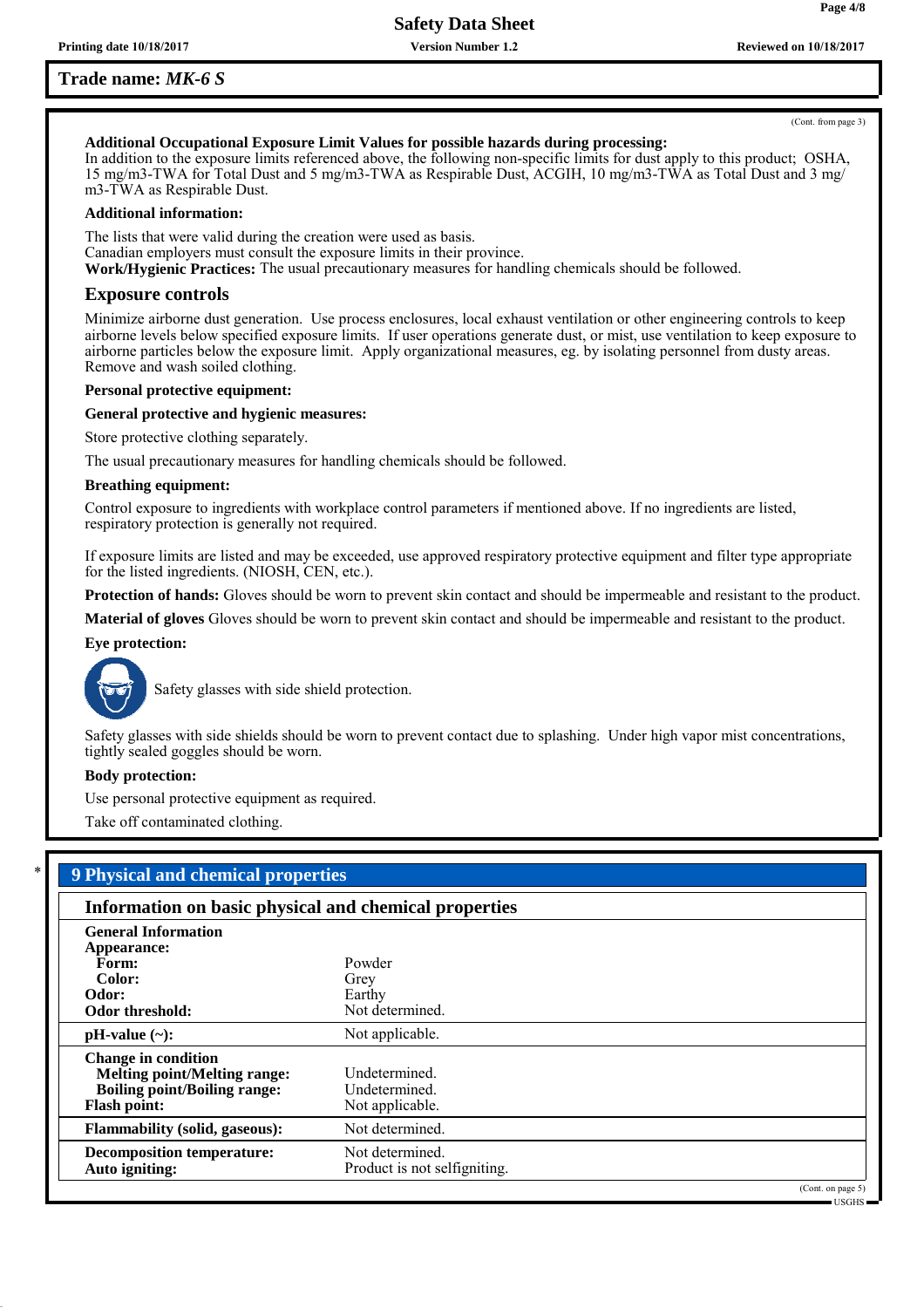**Version Number 1.2**

## **Trade name:** *MK-6 S*

**Page 4/8**

# **Additional Occupational Exposure Limit Values for possible hazards during processing:**

In addition to the exposure limits referenced above, the following non-specific limits for dust apply to this product; OSHA, 15 mg/m3-TWA for Total Dust and 5 mg/m3-TWA as Respirable Dust, ACGIH, 10 mg/m3-TWA as Total Dust and 3 mg/ m3-TWA as Respirable Dust.

### **Additional information:**

The lists that were valid during the creation were used as basis. Canadian employers must consult the exposure limits in their province. **Work/Hygienic Practices:** The usual precautionary measures for handling chemicals should be followed.

### **Exposure controls**

Minimize airborne dust generation. Use process enclosures, local exhaust ventilation or other engineering controls to keep airborne levels below specified exposure limits. If user operations generate dust, or mist, use ventilation to keep exposure to airborne particles below the exposure limit. Apply organizational measures, eg. by isolating personnel from dusty areas. Remove and wash soiled clothing.

#### **Personal protective equipment:**

### **General protective and hygienic measures:**

Store protective clothing separately.

The usual precautionary measures for handling chemicals should be followed.

#### **Breathing equipment:**

Control exposure to ingredients with workplace control parameters if mentioned above. If no ingredients are listed, respiratory protection is generally not required.

If exposure limits are listed and may be exceeded, use approved respiratory protective equipment and filter type appropriate for the listed ingredients. (NIOSH, CEN, etc.).

**Protection of hands:** Gloves should be worn to prevent skin contact and should be impermeable and resistant to the product.

**Material of gloves** Gloves should be worn to prevent skin contact and should be impermeable and resistant to the product.

### **Eye protection:**



Safety glasses with side shield protection.

Safety glasses with side shields should be worn to prevent contact due to splashing. Under high vapor mist concentrations, tightly sealed goggles should be worn.

#### **Body protection:**

Use personal protective equipment as required.

Take off contaminated clothing.

| Information on basic physical and chemical properties |                              |  |  |
|-------------------------------------------------------|------------------------------|--|--|
| <b>General Information</b>                            |                              |  |  |
| Appearance:                                           |                              |  |  |
| Form:                                                 | Powder                       |  |  |
| Color:                                                | Grey                         |  |  |
| Odor:                                                 | Earthy                       |  |  |
| Odor threshold:                                       | Not determined.              |  |  |
| $pH-value$ (~):                                       | Not applicable.              |  |  |
| <b>Change in condition</b>                            |                              |  |  |
| <b>Melting point/Melting range:</b>                   | Undetermined.                |  |  |
| <b>Boiling point/Boiling range:</b>                   | Undetermined.                |  |  |
| <b>Flash point:</b>                                   | Not applicable.              |  |  |
| <b>Flammability (solid, gaseous):</b>                 | Not determined.              |  |  |
| <b>Decomposition temperature:</b>                     | Not determined.              |  |  |
| Auto igniting:                                        | Product is not selfigniting. |  |  |

USGHS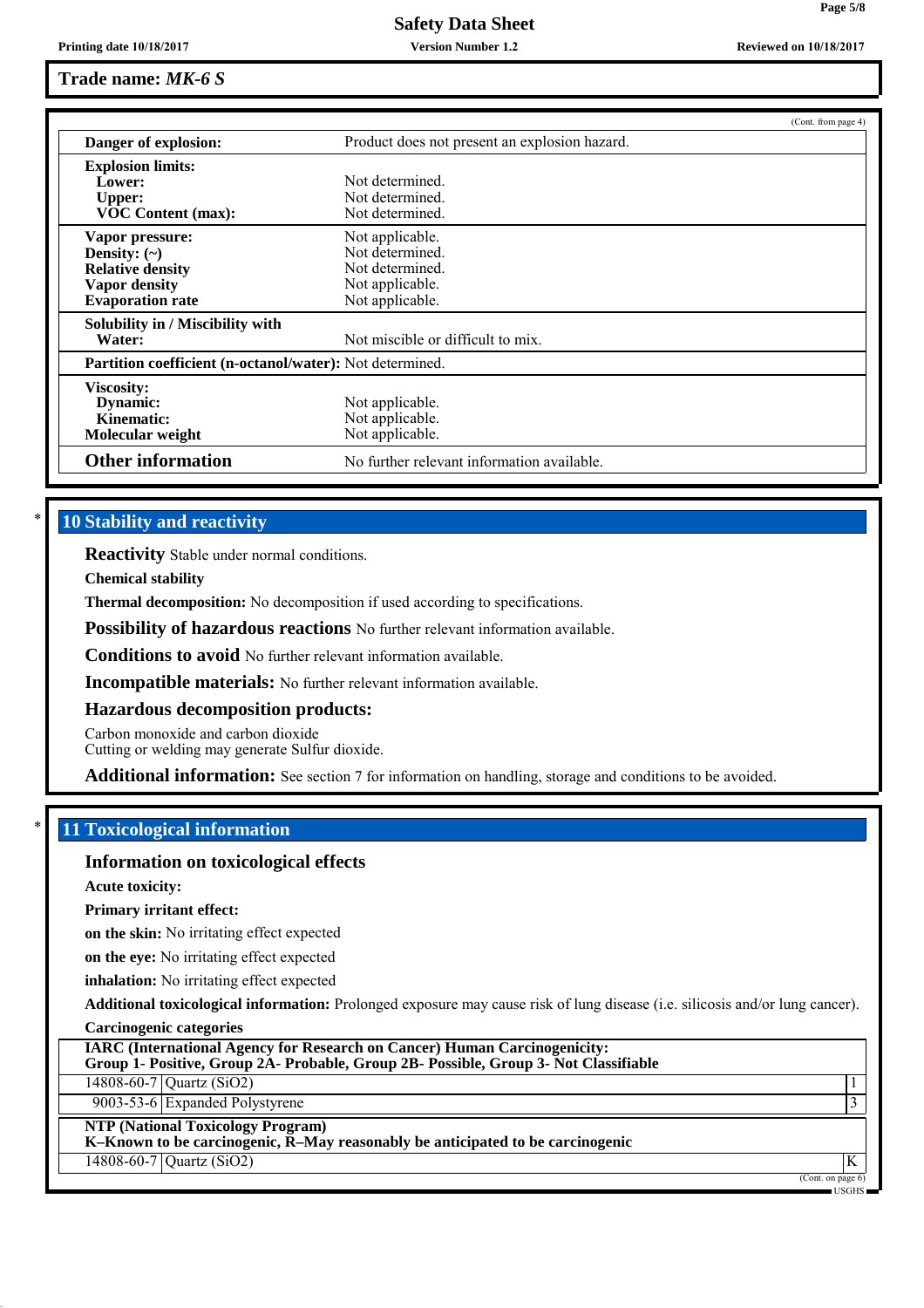**Version Number 1.2**

**Page 5/8**

## **Trade name:** *MK-6 S*

|                                                                 |                                               | (Cont. from page 4) |
|-----------------------------------------------------------------|-----------------------------------------------|---------------------|
| Danger of explosion:                                            | Product does not present an explosion hazard. |                     |
| <b>Explosion limits:</b>                                        |                                               |                     |
| Lower:                                                          | Not determined.                               |                     |
| <b>Upper:</b>                                                   | Not determined.                               |                     |
| <b>VOC Content (max):</b>                                       | Not determined.                               |                     |
| Vapor pressure:                                                 | Not applicable.                               |                     |
| Density: $(\sim)$                                               | Not determined.                               |                     |
| <b>Relative density</b>                                         | Not determined.                               |                     |
| Vapor density                                                   | Not applicable.                               |                     |
| <b>Evaporation</b> rate                                         | Not applicable.                               |                     |
| Solubility in / Miscibility with                                |                                               |                     |
| Water:                                                          | Not miscible or difficult to mix.             |                     |
| <b>Partition coefficient (n-octanol/water):</b> Not determined. |                                               |                     |
| Viscosity:                                                      |                                               |                     |
| Dynamic:                                                        | Not applicable.                               |                     |
| Kinematic:                                                      | Not applicable.                               |                     |
| Molecular weight                                                | Not applicable.                               |                     |
| <b>Other information</b>                                        | No further relevant information available.    |                     |

## **10 Stability and reactivity**

**Reactivity** Stable under normal conditions.

**Chemical stability**

**Thermal decomposition:** No decomposition if used according to specifications.

**Possibility of hazardous reactions** No further relevant information available.

**Conditions to avoid** No further relevant information available.

**Incompatible materials:** No further relevant information available.

### **Hazardous decomposition products:**

Carbon monoxide and carbon dioxide

Cutting or welding may generate Sulfur dioxide.

**Additional information:** See section 7 for information on handling, storage and conditions to be avoided.

## \* **11 Toxicological information**

### **Information on toxicological effects**

**Acute toxicity:**

**Primary irritant effect:**

**on the skin:** No irritating effect expected

**on the eye:** No irritating effect expected

**inhalation:** No irritating effect expected

**Additional toxicological information:** Prolonged exposure may cause risk of lung disease (i.e. silicosis and/or lung cancer).

|  | <b>Carcinogenic categories</b> |
|--|--------------------------------|
|  |                                |
|  |                                |

| <b>IARC (International Agency for Research on Cancer) Human Carcinogenicity:</b><br>Group 1- Positive, Group 2A- Probable, Group 2B- Possible, Group 3- Not Classifiable |                                      |
|--------------------------------------------------------------------------------------------------------------------------------------------------------------------------|--------------------------------------|
| 14808-60-7 Quartz (SiO2)                                                                                                                                                 |                                      |
| $\overline{9003}$ -53-6 Expanded Polystyrene                                                                                                                             |                                      |
| <b>NTP (National Toxicology Program)</b><br>K-Known to be carcinogenic, R-May reasonably be anticipated to be carcinogenic                                               |                                      |
| $14808 - 60 - 7$ Quartz (SiO2)                                                                                                                                           |                                      |
|                                                                                                                                                                          | (Cont. on page 6)<br><b>TIO OTTO</b> |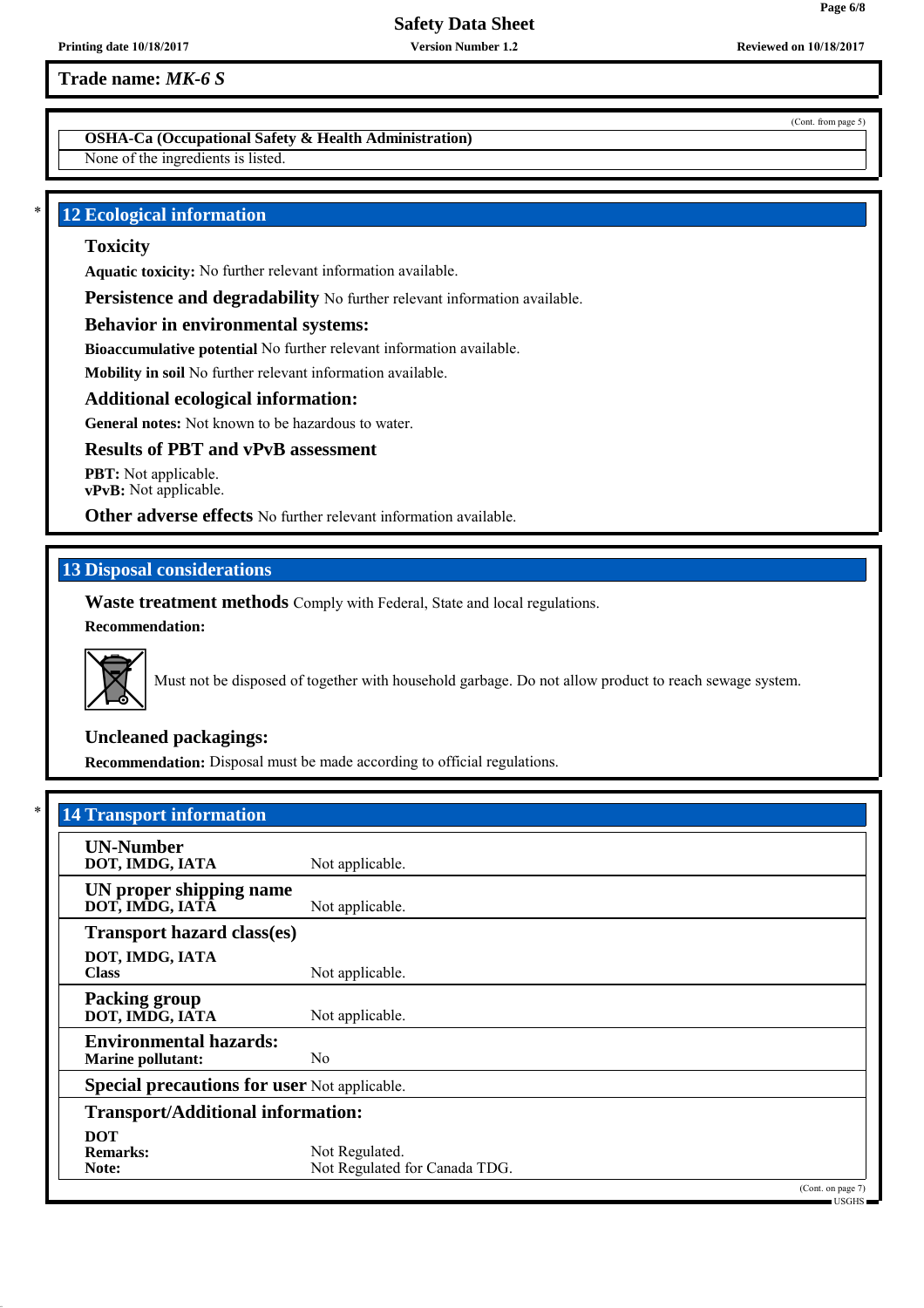**Version Number 1.2**

**Trade name:** *MK-6 S*

**OSHA-Ca (Occupational Safety & Health Administration)**

None of the ingredients is listed.

## **12 Ecological information**

## **Toxicity**

**Aquatic toxicity:** No further relevant information available.

**Persistence and degradability** No further relevant information available.

## **Behavior in environmental systems:**

**Bioaccumulative potential** No further relevant information available.

**Mobility in soil** No further relevant information available.

## **Additional ecological information:**

**General notes:** Not known to be hazardous to water.

## **Results of PBT and vPvB assessment**

**PBT:** Not applicable. **vPvB:** Not applicable.

**Other adverse effects** No further relevant information available.

## **13 Disposal considerations**

**Waste treatment methods** Comply with Federal, State and local regulations. **Recommendation:**



Must not be disposed of together with household garbage. Do not allow product to reach sewage system.

## **Uncleaned packagings:**

**Recommendation:** Disposal must be made according to official regulations.

| <b>14 Transport information</b>                           |                                                 |                                    |
|-----------------------------------------------------------|-------------------------------------------------|------------------------------------|
| <b>UN-Number</b><br>DOT, IMDG, IATA                       | Not applicable.                                 |                                    |
| UN proper shipping name<br>DOT, IMDG, IATĀ                | Not applicable.                                 |                                    |
| <b>Transport hazard class(es)</b>                         |                                                 |                                    |
| DOT, IMDG, IATA<br><b>Class</b>                           | Not applicable.                                 |                                    |
| <b>Packing group</b><br>DOT, IMDG, IATA                   | Not applicable.                                 |                                    |
| <b>Environmental hazards:</b><br><b>Marine pollutant:</b> | N <sub>0</sub>                                  |                                    |
| <b>Special precautions for user Not applicable.</b>       |                                                 |                                    |
| <b>Transport/Additional information:</b>                  |                                                 |                                    |
| <b>DOT</b><br><b>Remarks:</b><br>Note:                    | Not Regulated.<br>Not Regulated for Canada TDG. |                                    |
|                                                           |                                                 | (Cont. on page 7)<br>$-$ USGHS $-$ |

(Cont. from page 5)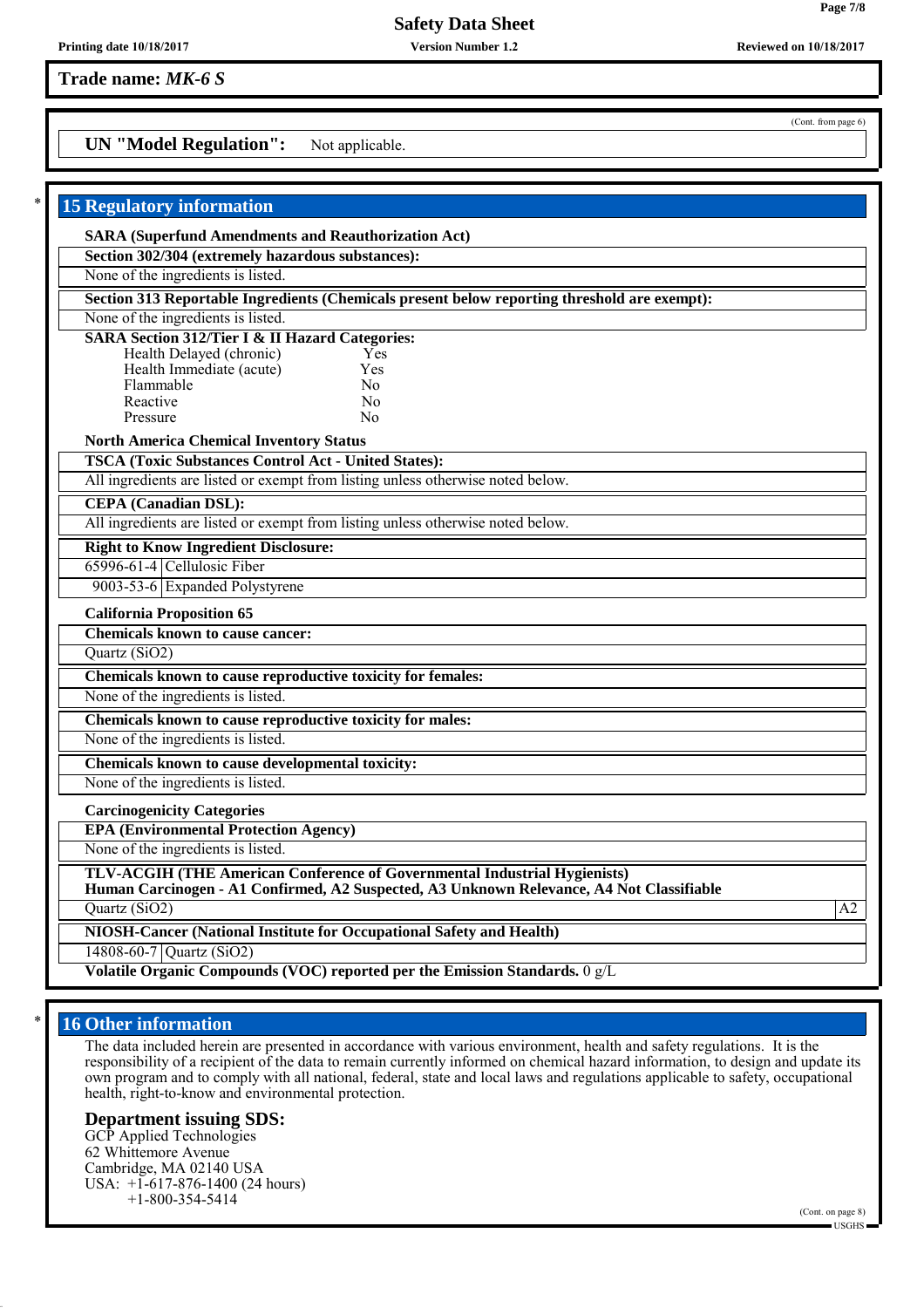**Version Number 1.2**

**Trade name:** *MK-6 S*

## **UN "Model Regulation":** Not applicable.

| <b>15 Regulatory information</b>                                                                                                                                                                    |    |
|-----------------------------------------------------------------------------------------------------------------------------------------------------------------------------------------------------|----|
| <b>SARA (Superfund Amendments and Reauthorization Act)</b>                                                                                                                                          |    |
| Section 302/304 (extremely hazardous substances):                                                                                                                                                   |    |
| None of the ingredients is listed.                                                                                                                                                                  |    |
| Section 313 Reportable Ingredients (Chemicals present below reporting threshold are exempt):                                                                                                        |    |
| None of the ingredients is listed.                                                                                                                                                                  |    |
| <b>SARA Section 312/Tier I &amp; II Hazard Categories:</b><br>Health Delayed (chronic)<br>Yes<br>Health Immediate (acute)<br>Yes<br>Flammable<br>No<br>Reactive<br>N <sub>0</sub><br>Nο<br>Pressure |    |
| <b>North America Chemical Inventory Status</b>                                                                                                                                                      |    |
| <b>TSCA (Toxic Substances Control Act - United States):</b>                                                                                                                                         |    |
| All ingredients are listed or exempt from listing unless otherwise noted below.                                                                                                                     |    |
| <b>CEPA</b> (Canadian DSL):                                                                                                                                                                         |    |
| All ingredients are listed or exempt from listing unless otherwise noted below.                                                                                                                     |    |
| <b>Right to Know Ingredient Disclosure:</b>                                                                                                                                                         |    |
| 65996-61-4 Cellulosic Fiber                                                                                                                                                                         |    |
| 9003-53-6 Expanded Polystyrene                                                                                                                                                                      |    |
| <b>California Proposition 65</b>                                                                                                                                                                    |    |
| Chemicals known to cause cancer:                                                                                                                                                                    |    |
| Quartz (SiO2)                                                                                                                                                                                       |    |
| Chemicals known to cause reproductive toxicity for females:                                                                                                                                         |    |
| None of the ingredients is listed.                                                                                                                                                                  |    |
| Chemicals known to cause reproductive toxicity for males:                                                                                                                                           |    |
| None of the ingredients is listed.                                                                                                                                                                  |    |
| Chemicals known to cause developmental toxicity:                                                                                                                                                    |    |
| None of the ingredients is listed.                                                                                                                                                                  |    |
| <b>Carcinogenicity Categories</b>                                                                                                                                                                   |    |
| <b>EPA (Environmental Protection Agency)</b>                                                                                                                                                        |    |
| None of the ingredients is listed.                                                                                                                                                                  |    |
| TLV-ACGIH (THE American Conference of Governmental Industrial Hygienists)<br>Human Carcinogen - A1 Confirmed, A2 Suspected, A3 Unknown Relevance, A4 Not Classifiable                               |    |
| Quartz (SiO2)                                                                                                                                                                                       | A2 |
| NIOSH-Cancer (National Institute for Occupational Safety and Health)                                                                                                                                |    |
| 14808-60-7 Quartz (SiO2)                                                                                                                                                                            |    |
| Volatile Organic Compounds (VOC) reported per the Emission Standards. 0 g/L                                                                                                                         |    |

## **16 Other information**

The data included herein are presented in accordance with various environment, health and safety regulations. It is the responsibility of a recipient of the data to remain currently informed on chemical hazard information, to design and update its own program and to comply with all national, federal, state and local laws and regulations applicable to safety, occupational health, right-to-know and environmental protection.

### **Department issuing SDS:**

GCP Applied Technologies 62 Whittemore Avenue Cambridge, MA 02140 USA USA: +1-617-876-1400 (24 hours) +1-800-354-5414

(Cont. from page 6)

**Printing date 10/18/2017 Reviewed on 10/18/2017**